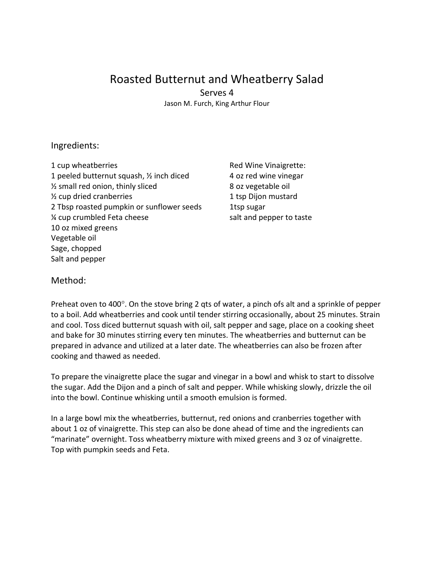## Roasted Butternut and Wheatberry Salad

Serves 4

Jason M. Furch, King Arthur Flour

#### Ingredients:

- 1 cup wheatberries **All and Solution** Red Wine Vinaigrette: 1 peeled butternut squash, 1/2 inch diced 4 oz red wine vinegar  $\frac{1}{2}$  small red onion, thinly sliced  $\frac{1}{2}$  8 oz vegetable oil ½ cup dried cranberries 1 tsp Dijon mustard 2 Tbsp roasted pumpkin or sunflower seeds 1tsp sugar % cup crumbled Feta cheese salt and pepper to taste 10 oz mixed greens Vegetable oil Sage, chopped Salt and pepper
	-

#### Method:

Preheat oven to 400 $^{\circ}$ . On the stove bring 2 qts of water, a pinch ofs alt and a sprinkle of pepper to a boil. Add wheatberries and cook until tender stirring occasionally, about 25 minutes. Strain and cool. Toss diced butternut squash with oil, salt pepper and sage, place on a cooking sheet and bake for 30 minutes stirring every ten minutes. The wheatberries and butternut can be prepared in advance and utilized at a later date. The wheatberries can also be frozen after cooking and thawed as needed.

To prepare the vinaigrette place the sugar and vinegar in a bowl and whisk to start to dissolve the sugar. Add the Dijon and a pinch of salt and pepper. While whisking slowly, drizzle the oil into the bowl. Continue whisking until a smooth emulsion is formed.

In a large bowl mix the wheatberries, butternut, red onions and cranberries together with about 1 oz of vinaigrette. This step can also be done ahead of time and the ingredients can "marinate" overnight. Toss wheatberry mixture with mixed greens and 3 oz of vinaigrette. Top with pumpkin seeds and Feta.